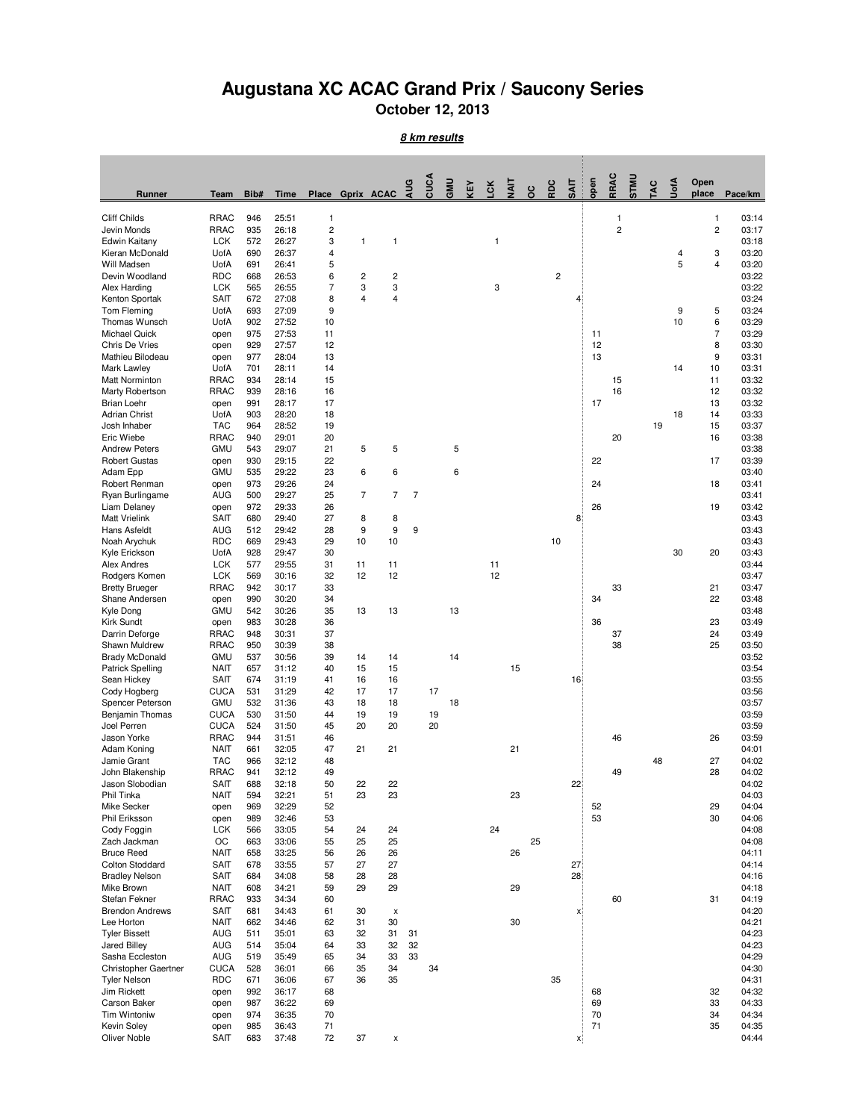## **Augustana XC ACAC Grand Prix / Saucony Series October 12, 2013**

**8 km results**

| Runner                                  | Team                       | Bib#       | <b>Time</b>    |                         |                              | Place Gprix ACAC | AUG            | CUCA     | GMU | KEY | š  | <b>TIAIT</b> | oc | RDC                     | <b>SAIT</b> | open | RRAC           | STMU | <b>TAC</b> | UotA | Open<br>place  | Pace/km        |
|-----------------------------------------|----------------------------|------------|----------------|-------------------------|------------------------------|------------------|----------------|----------|-----|-----|----|--------------|----|-------------------------|-------------|------|----------------|------|------------|------|----------------|----------------|
| Cliff Childs                            | <b>RRAC</b>                | 946        | 25:51          | 1                       |                              |                  |                |          |     |     |    |              |    |                         |             |      | 1              |      |            |      | 1              | 03:14          |
| Jevin Monds                             | <b>RRAC</b>                | 935        | 26:18          | $\overline{\mathbf{c}}$ |                              |                  |                |          |     |     |    |              |    |                         |             |      | $\overline{c}$ |      |            |      | $\overline{c}$ | 03:17          |
| Edwin Kaitany                           | <b>LCK</b>                 | 572        | 26:27          | 3                       | 1                            | 1                |                |          |     |     | 1  |              |    |                         |             |      |                |      |            |      |                | 03:18          |
| Kieran McDonald                         | UofA                       | 690        | 26:37          | 4                       |                              |                  |                |          |     |     |    |              |    |                         |             |      |                |      |            | 4    | 3              | 03:20          |
| Will Madsen                             | UofA                       | 691        | 26:41          | 5                       |                              |                  |                |          |     |     |    |              |    |                         |             |      |                |      |            | 5    | $\overline{4}$ | 03:20          |
| Devin Woodland                          | <b>RDC</b>                 | 668        | 26:53          | 6<br>$\overline{7}$     | $\overline{\mathbf{c}}$<br>3 | 2                |                |          |     |     | 3  |              |    | $\overline{\mathbf{c}}$ |             |      |                |      |            |      |                | 03:22          |
| Alex Harding<br>Kenton Sportak          | <b>LCK</b><br><b>SAIT</b>  | 565<br>672 | 26:55<br>27:08 | 8                       | 4                            | 3<br>4           |                |          |     |     |    |              |    |                         | 4           |      |                |      |            |      |                | 03:22<br>03:24 |
| Tom Fleming                             | UofA                       | 693        | 27:09          | 9                       |                              |                  |                |          |     |     |    |              |    |                         |             |      |                |      |            | 9    | 5              | 03:24          |
| Thomas Wunsch                           | UofA                       | 902        | 27:52          | 10                      |                              |                  |                |          |     |     |    |              |    |                         |             |      |                |      |            | 10   | 6              | 03:29          |
| <b>Michael Quick</b>                    | open                       | 975        | 27:53          | 11                      |                              |                  |                |          |     |     |    |              |    |                         |             | 11   |                |      |            |      | 7              | 03:29          |
| <b>Chris De Vries</b>                   | open                       | 929        | 27:57          | 12                      |                              |                  |                |          |     |     |    |              |    |                         |             | 12   |                |      |            |      | 8              | 03:30          |
| Mathieu Bilodeau                        | open                       | 977        | 28:04          | 13                      |                              |                  |                |          |     |     |    |              |    |                         |             | 13   |                |      |            |      | 9              | 03:31          |
| Mark Lawley                             | UofA                       | 701        | 28:11          | 14                      |                              |                  |                |          |     |     |    |              |    |                         |             |      |                |      |            | 14   | 10             | 03:31          |
| Matt Norminton                          | <b>RRAC</b>                | 934        | 28:14          | 15                      |                              |                  |                |          |     |     |    |              |    |                         |             |      | 15             |      |            |      | 11             | 03:32          |
| Marty Robertson                         | <b>RRAC</b>                | 939        | 28:16          | 16                      |                              |                  |                |          |     |     |    |              |    |                         |             |      | 16             |      |            |      | 12             | 03:32          |
| <b>Brian Loehr</b>                      | open                       | 991        | 28:17          | 17                      |                              |                  |                |          |     |     |    |              |    |                         |             | 17   |                |      |            |      | 13             | 03:32          |
| <b>Adrian Christ</b><br>Josh Inhaber    | UofA<br><b>TAC</b>         | 903<br>964 | 28:20<br>28:52 | 18<br>19                |                              |                  |                |          |     |     |    |              |    |                         |             |      |                |      | 19         | 18   | 14<br>15       | 03:33<br>03:37 |
| Eric Wiebe                              | RRAC                       | 940        | 29:01          | 20                      |                              |                  |                |          |     |     |    |              |    |                         |             |      | 20             |      |            |      | 16             | 03:38          |
| <b>Andrew Peters</b>                    | <b>GMU</b>                 | 543        | 29:07          | 21                      | 5                            | 5                |                |          | 5   |     |    |              |    |                         |             |      |                |      |            |      |                | 03:38          |
| <b>Robert Gustas</b>                    | open                       | 930        | 29:15          | 22                      |                              |                  |                |          |     |     |    |              |    |                         |             | 22   |                |      |            |      | 17             | 03:39          |
| Adam Epp                                | <b>GMU</b>                 | 535        | 29:22          | 23                      | 6                            | 6                |                |          | 6   |     |    |              |    |                         |             |      |                |      |            |      |                | 03:40          |
| Robert Renman                           | open                       | 973        | 29:26          | 24                      |                              |                  |                |          |     |     |    |              |    |                         |             | 24   |                |      |            |      | 18             | 03:41          |
| Ryan Burlingame                         | AUG                        | 500        | 29:27          | 25                      | 7                            | 7                | $\overline{7}$ |          |     |     |    |              |    |                         |             |      |                |      |            |      |                | 03:41          |
| Liam Delaney                            | open                       | 972        | 29:33          | 26                      |                              |                  |                |          |     |     |    |              |    |                         |             | 26   |                |      |            |      | 19             | 03:42          |
| <b>Matt Vrielink</b>                    | SAIT                       | 680        | 29:40          | 27                      | 8                            | 8                |                |          |     |     |    |              |    |                         | 8           |      |                |      |            |      |                | 03:43          |
| Hans Asfeldt                            | <b>AUG</b>                 | 512        | 29:42          | 28                      | 9                            | 9                | 9              |          |     |     |    |              |    |                         |             |      |                |      |            |      |                | 03:43          |
| Noah Arychuk                            | <b>RDC</b>                 | 669        | 29:43          | 29                      | 10                           | 10               |                |          |     |     |    |              |    | 10                      |             |      |                |      |            |      |                | 03:43          |
| Kyle Erickson                           | UofA                       | 928        | 29:47          | 30                      |                              |                  |                |          |     |     |    |              |    |                         |             |      |                |      |            | 30   | 20             | 03:43          |
| <b>Alex Andres</b>                      | <b>LCK</b>                 | 577        | 29:55          | 31                      | 11                           | 11               |                |          |     |     | 11 |              |    |                         |             |      |                |      |            |      |                | 03:44          |
| Rodgers Komen                           | <b>LCK</b>                 | 569<br>942 | 30:16<br>30:17 | 32<br>33                | 12                           | 12               |                |          |     |     | 12 |              |    |                         |             |      |                |      |            |      | 21             | 03:47<br>03:47 |
| <b>Bretty Brueger</b><br>Shane Andersen | RRAC<br>open               | 990        | 30:20          | 34                      |                              |                  |                |          |     |     |    |              |    |                         |             | 34   | 33             |      |            |      | 22             | 03:48          |
| Kyle Dong                               | <b>GMU</b>                 | 542        | 30:26          | 35                      | 13                           | 13               |                |          | 13  |     |    |              |    |                         |             |      |                |      |            |      |                | 03:48          |
| Kirk Sundt                              | open                       | 983        | 30:28          | 36                      |                              |                  |                |          |     |     |    |              |    |                         |             | 36   |                |      |            |      | 23             | 03:49          |
| Darrin Deforge                          | RRAC                       | 948        | 30:31          | 37                      |                              |                  |                |          |     |     |    |              |    |                         |             |      | 37             |      |            |      | 24             | 03:49          |
| Shawn Muldrew                           | <b>RRAC</b>                | 950        | 30:39          | 38                      |                              |                  |                |          |     |     |    |              |    |                         |             |      | 38             |      |            |      | 25             | 03:50          |
| <b>Brady McDonald</b>                   | <b>GMU</b>                 | 537        | 30:56          | 39                      | 14                           | 14               |                |          | 14  |     |    |              |    |                         |             |      |                |      |            |      |                | 03:52          |
| <b>Patrick Spelling</b>                 | <b>NAIT</b>                | 657        | 31:12          | 40                      | 15                           | 15               |                |          |     |     |    | 15           |    |                         |             |      |                |      |            |      |                | 03:54          |
| Sean Hickey                             | <b>SAIT</b>                | 674        | 31:19          | 41                      | 16                           | 16               |                |          |     |     |    |              |    |                         | 16          |      |                |      |            |      |                | 03:55          |
| Cody Hogberg                            | CUCA                       | 531        | 31:29          | 42                      | 17                           | 17               |                | 17       |     |     |    |              |    |                         |             |      |                |      |            |      |                | 03:56          |
| Spencer Peterson                        | <b>GMU</b>                 | 532        | 31:36          | 43                      | 18                           | 18               |                |          | 18  |     |    |              |    |                         |             |      |                |      |            |      |                | 03:57          |
| Benjamin Thomas<br>Joel Perren          | <b>CUCA</b><br><b>CUCA</b> | 530<br>524 | 31:50<br>31:50 | 44<br>45                | 19<br>20                     | 19<br>20         |                | 19<br>20 |     |     |    |              |    |                         |             |      |                |      |            |      |                | 03:59<br>03:59 |
| Jason Yorke                             | <b>RRAC</b>                | 944        | 31:51          | 46                      |                              |                  |                |          |     |     |    |              |    |                         |             |      | 46             |      |            |      | 26             | 03:59          |
| Adam Koning                             | <b>NAIT</b>                | 661        | 32:05          | 47                      | 21                           | 21               |                |          |     |     |    | 21           |    |                         |             |      |                |      |            |      |                | 04:01          |
| Jamie Grant                             | <b>TAC</b>                 | 966        | 32:12          | 48                      |                              |                  |                |          |     |     |    |              |    |                         |             |      |                |      | 48         |      | 27             | 04:02          |
| John Blakenship                         | RRAC                       | 941        | 32:12          | 49                      |                              |                  |                |          |     |     |    |              |    |                         |             |      | 49             |      |            |      | 28             | 04:02          |
| Jason Slobodian                         | <b>SAIT</b>                | 688        | 32:18          | 50                      | 22                           | 22               |                |          |     |     |    |              |    |                         | 22          |      |                |      |            |      |                | 04:02          |
| Phil Tinka                              | <b>NAIT</b>                | 594        | 32:21          | 51                      | 23                           | 23               |                |          |     |     |    | 23           |    |                         |             |      |                |      |            |      |                | 04:03          |
| Mike Secker                             | open                       | 969        | 32:29          | 52                      |                              |                  |                |          |     |     |    |              |    |                         |             | 52   |                |      |            |      | 29             | 04:04          |
| Phil Eriksson                           | open                       | 989        | 32:46          | 53                      |                              |                  |                |          |     |     |    |              |    |                         |             | 53   |                |      |            |      | 30             | 04:06          |
| Cody Foggin                             | <b>LCK</b>                 | 566        | 33:05          | 54                      | 24                           | 24               |                |          |     |     | 24 |              |    |                         |             |      |                |      |            |      |                | 04:08          |
| Zach Jackman                            | OC                         | 663        | 33:06          | 55                      | 25                           | 25               |                |          |     |     |    |              | 25 |                         |             |      |                |      |            |      |                | 04:08          |
| <b>Bruce Reed</b>                       | <b>NAIT</b>                | 658        | 33:25          | 56                      | 26                           | 26               |                |          |     |     |    | 26           |    |                         |             |      |                |      |            |      |                | 04:11          |
| Colton Stoddard                         | <b>SAIT</b>                | 678        | 33:55          | 57                      | 27                           | 27               |                |          |     |     |    |              |    |                         | 27          |      |                |      |            |      |                | 04:14          |
| <b>Bradley Nelson</b><br>Mike Brown     | SAIT<br><b>NAIT</b>        | 684<br>608 | 34:08<br>34:21 | 58<br>59                | 28<br>29                     | 28<br>29         |                |          |     |     |    | 29           |    |                         | 28          |      |                |      |            |      |                | 04:16<br>04:18 |
| Stefan Fekner                           | RRAC                       | 933        | 34:34          | 60                      |                              |                  |                |          |     |     |    |              |    |                         |             |      | 60             |      |            |      | 31             | 04:19          |
| <b>Brendon Andrews</b>                  | <b>SAIT</b>                | 681        | 34:43          | 61                      | 30                           | X                |                |          |     |     |    |              |    |                         | X           |      |                |      |            |      |                | 04:20          |
| Lee Horton                              | <b>NAIT</b>                | 662        | 34:46          | 62                      | 31                           | 30               |                |          |     |     |    | 30           |    |                         |             |      |                |      |            |      |                | 04:21          |
| <b>Tyler Bissett</b>                    | AUG                        | 511        | 35:01          | 63                      | 32                           | 31               | 31             |          |     |     |    |              |    |                         |             |      |                |      |            |      |                | 04:23          |
| Jared Billey                            | AUG                        | 514        | 35:04          | 64                      | 33                           | 32               | 32             |          |     |     |    |              |    |                         |             |      |                |      |            |      |                | 04:23          |
| Sasha Eccleston                         | AUG                        | 519        | 35:49          | 65                      | 34                           | 33               | 33             |          |     |     |    |              |    |                         |             |      |                |      |            |      |                | 04:29          |
| <b>Christopher Gaertner</b>             | CUCA                       | 528        | 36:01          | 66                      | 35                           | 34               |                | 34       |     |     |    |              |    |                         |             |      |                |      |            |      |                | 04:30          |
| <b>Tyler Nelson</b>                     | RDC                        | 671        | 36:06          | 67                      | 36                           | 35               |                |          |     |     |    |              |    | 35                      |             |      |                |      |            |      |                | 04:31          |
| Jim Rickett                             | open                       | 992        | 36:17          | 68                      |                              |                  |                |          |     |     |    |              |    |                         |             | 68   |                |      |            |      | 32             | 04:32          |
| Carson Baker                            | open                       | 987        | 36:22          | 69                      |                              |                  |                |          |     |     |    |              |    |                         |             | 69   |                |      |            |      | 33             | 04:33          |
| <b>Tim Wintoniw</b>                     | open                       | 974        | 36:35          | 70                      |                              |                  |                |          |     |     |    |              |    |                         |             | 70   |                |      |            |      | 34             | 04:34          |
| Kevin Soley<br>Oliver Noble             | open<br><b>SAIT</b>        | 985        | 36:43<br>37:48 | 71<br>72                | 37                           |                  |                |          |     |     |    |              |    |                         |             | 71   |                |      |            |      | 35             | 04:35<br>04:44 |
|                                         |                            | 683        |                |                         |                              | X                |                |          |     |     |    |              |    |                         | X           |      |                |      |            |      |                |                |